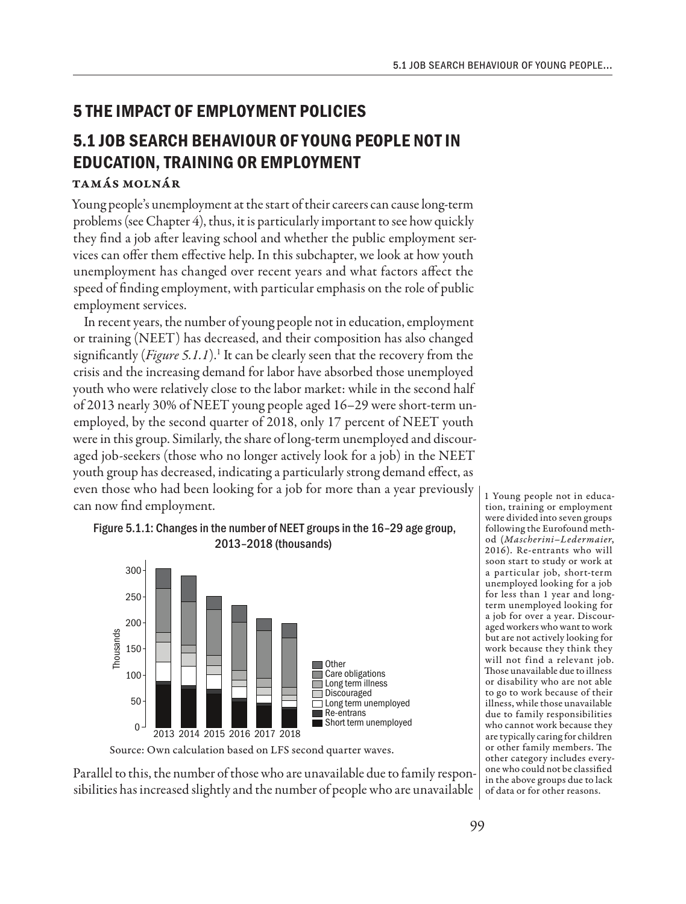## **5 THE IMPACT OF EMPLOYMENT POLICIES**

# **5.1 JOB SEARCH BEHAVIOUR OF YOUNG PEOPLE NOT IN EDUCATION, TRAINING OR EMPLOYMENT**

### Tamás Molnár

Young people's unemployment at the start of their careers can cause long-term problems (see Chapter 4), thus, it is particularly important to see how quickly they find a job after leaving school and whether the public employment services can offer them effective help. In this subchapter, we look at how youth unemployment has changed over recent years and what factors affect the speed of finding employment, with particular emphasis on the role of public employment services.

In recent years, the number of young people not in education, employment or training (NEET) has decreased, and their composition has also changed significantly (Figure 5.1.1).<sup>1</sup> It can be clearly seen that the recovery from the crisis and the increasing demand for labor have absorbed those unemployed youth who were relatively close to the labor market: while in the second half of 2013 nearly 30% of NEET young people aged 16–29 were short-term unemployed, by the second quarter of 2018, only 17 percent of NEET youth were in this group. Similarly, the share of long-term unemployed and discouraged job-seekers (those who no longer actively look for a job) in the NEET youth group has decreased, indicating a particularly strong demand effect, as even those who had been looking for a job for more than a year previously can now find employment.





Source: Own calculation based on LFS second quarter waves.

Parallel to this, the number of those who are unavailable due to family responsibilities has increased slightly and the number of people who are unavailable  $\,$  of data or for other reasons.

1 Young people not in education, training or employment were divided into seven groups following the Eurofound method (*Mascherini–Ledermaier*, 2016). Re-entrants who will soon start to study or work at a particular job, short-term unemployed looking for a job for less than 1 year and longterm unemployed looking for a job for over a year. Discouraged workers who want to work but are not actively looking for work because they think they will not find a relevant job. Those unavailable due to illness or disability who are not able to go to work because of their illness, while those unavailable due to family responsibilities who cannot work because they are typically caring for children or other family members. The other category includes everyone who could not be classified in the above groups due to lack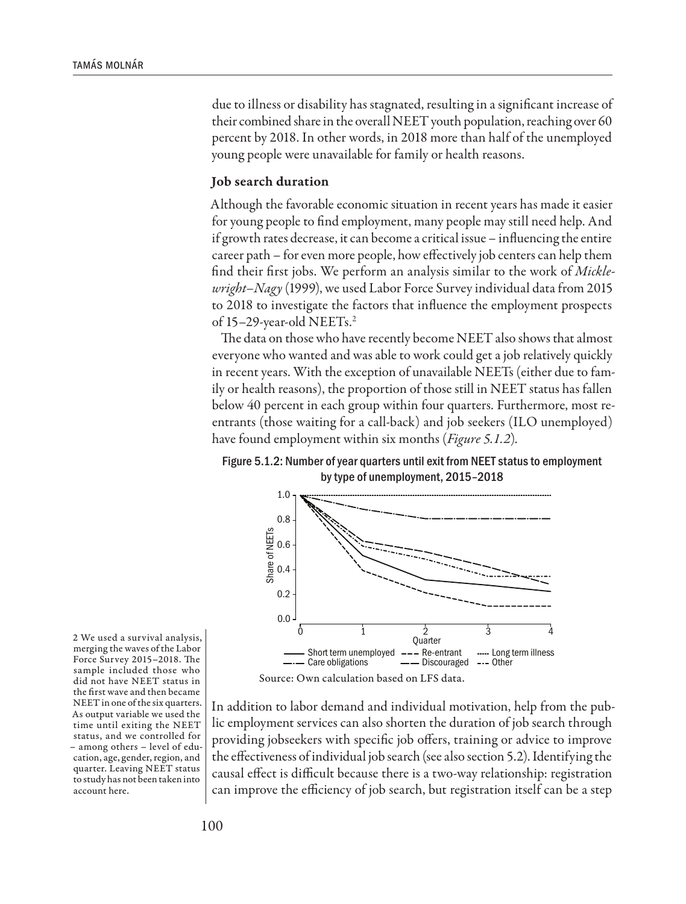due to illness or disability has stagnated, resulting in a significant increase of their combined share in the overall NEET youth population, reaching over 60 percent by 2018. In other words, in 2018 more than half of the unemployed young people were unavailable for family or health reasons.

### Job search duration

Although the favorable economic situation in recent years has made it easier for young people to find employment, many people may still need help. And if growth rates decrease, it can become a critical issue – influencing the entire career path – for even more people, how effectively job centers can help them find their first jobs. We perform an analysis similar to the work of *Micklewright–Nagy* (1999), we used Labor Force Survey individual data from 2015 to 2018 to investigate the factors that influence the employment prospects of 15–29-year-old NEETs.2

The data on those who have recently become NEET also shows that almost everyone who wanted and was able to work could get a job relatively quickly in recent years. With the exception of unavailable NEETs (either due to family or health reasons), the proportion of those still in NEET status has fallen below 40 percent in each group within four quarters. Furthermore, most reentrants (those waiting for a call-back) and job seekers (ILO unemployed) have found employment within six months (*Figure 5.1.2*)*.*





2 We used a survival analysis, merging the waves of the Labor Force Survey 2015–2018. The sample included those who did not have NEET status in the first wave and then became NEET in one of the six quarters. As output variable we used the time until exiting the NEET status, and we controlled for – among others – level of education, age, gender, region, and quarter. Leaving NEET status to study has not been taken into account here.

In addition to labor demand and individual motivation, help from the public employment services can also shorten the duration of job search through providing jobseekers with specific job offers, training or advice to improve the effectiveness of individual job search (see also section 5.2). Identifying the causal effect is difficult because there is a two-way relationship: registration can improve the efficiency of job search, but registration itself can be a step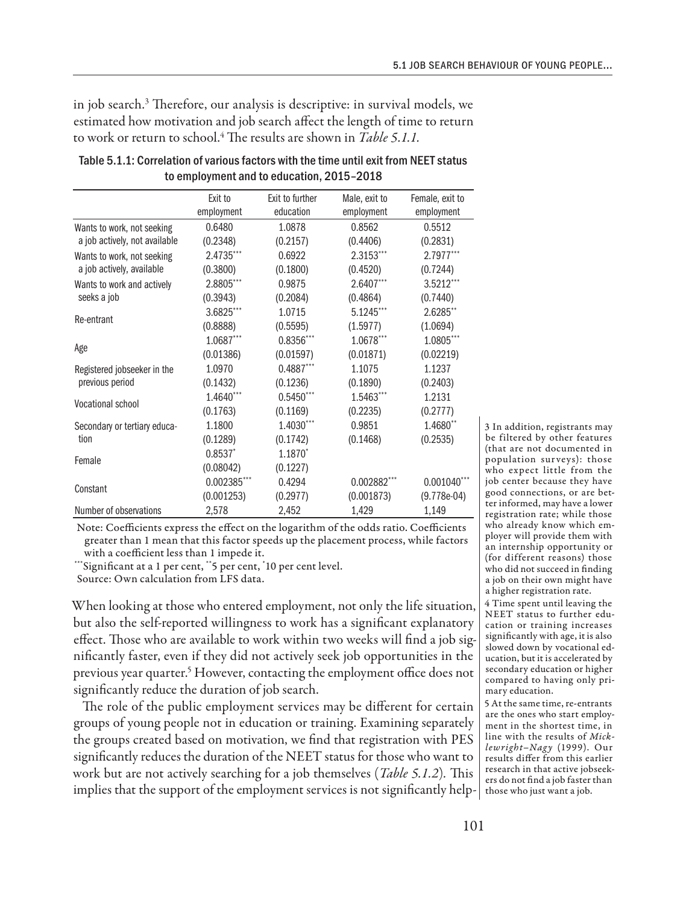in job search.3 Therefore, our analysis is descriptive: in survival models, we estimated how motivation and job search affect the length of time to return to work or return to school.<sup>4</sup> The results are shown in *Table 5.1.1.* 

|                               | Exit to       | Exit to further     | Male, exit to | Female, exit to |
|-------------------------------|---------------|---------------------|---------------|-----------------|
|                               | employment    | education           | employment    | employment      |
| Wants to work, not seeking    | 0.6480        | 1.0878              | 0.8562        | 0.5512          |
| a job actively, not available | (0.2348)      | (0.2157)            | (0.4406)      | (0.2831)        |
| Wants to work, not seeking    | 2.4735***     | 0.6922              | 2.3153***     | $2.7977***$     |
| a job actively, available     | (0.3800)      | (0.1800)            | (0.4520)      | (0.7244)        |
| Wants to work and actively    | 2.8805***     | 0.9875              | 2.6407***     | 3.5212***       |
| seeks a job                   | (0.3943)      | (0.2084)            | (0.4864)      | (0.7440)        |
| Re-entrant                    | 3.6825***     | 1.0715              | 5.1245***     | 2.6285**        |
|                               | (0.8888)      | (0.5595)            | (1.5977)      | (1.0694)        |
| Age                           | $1.0687***$   | 0.8356***           | $1.0678***$   | 1.0805***       |
|                               | (0.01386)     | (0.01597)           | (0.01871)     | (0.02219)       |
| Registered jobseeker in the   | 1.0970        | $0.4887***$         | 1.1075        | 1.1237          |
| previous period               | (0.1432)      | (0.1236)            | (0.1890)      | (0.2403)        |
| <b>Vocational school</b>      | 1.4640***     | $0.5450***$         | 1.5463***     | 1.2131          |
|                               | (0.1763)      | (0.1169)            | (0.2235)      | (0.2777)        |
| Secondary or tertiary educa-  | 1.1800        | $1.4030***$         | 0.9851        | 1.4680**        |
| tion                          | (0.1289)      | (0.1742)            | (0.1468)      | (0.2535)        |
| Female                        | $0.8537*$     | 1.1870 <sup>*</sup> |               |                 |
|                               | (0.08042)     | (0.1227)            |               |                 |
| Constant                      | $0.002385***$ | 0.4294              | 0.002882***   | $0.001040$ ***  |
|                               | (0.001253)    | (0.2977)            | (0.001873)    | $(9.778e-04)$   |
| Number of observations        | 2,578         | 2,452               | 1,429         | 1,149           |

| Table 5.1.1: Correlation of various factors with the time until exit from NEET status |
|---------------------------------------------------------------------------------------|
| to employment and to education, 2015-2018                                             |

Note: Coefficients express the effect on the logarithm of the odds ratio. Coefficients greater than 1 mean that this factor speeds up the placement process, while factors with a coefficient less than 1 impede it.

\*\*\*Significant at a 1 per cent, \*\*5 per cent, \* 10 per cent level.

Source: Own calculation from LFS data.

When looking at those who entered employment, not only the life situation, but also the self-reported willingness to work has a significant explanatory effect. Those who are available to work within two weeks will find a job significantly faster, even if they did not actively seek job opportunities in the previous year quarter.<sup>5</sup> However, contacting the employment office does not significantly reduce the duration of job search.

The role of the public employment services may be different for certain groups of young people not in education or training. Examining separately the groups created based on motivation, we find that registration with PES significantly reduces the duration of the NEET status for those who want to work but are not actively searching for a job themselves (*Table 5.1.2*)*.* This implies that the support of the employment services is not significantly help-

3 In addition, registrants may be filtered by other features (that are not documented in population surveys): those who expect little from the job center because they have good connections, or are better informed, may have a lower registration rate; while those who already know which employer will provide them with an internship opportunity or (for different reasons) those who did not succeed in finding a job on their own might have a higher registration rate.

4 Time spent until leaving the NEET status to further education or training increases significantly with age, it is also slowed down by vocational education, but it is accelerated by secondary education or higher compared to having only primary education.

5 At the same time, re-entrants are the ones who start employment in the shortest time, in line with the results of *Micklewright–Nagy* (1999). Our results differ from this earlier research in that active jobseekers do not find a job faster than those who just want a job.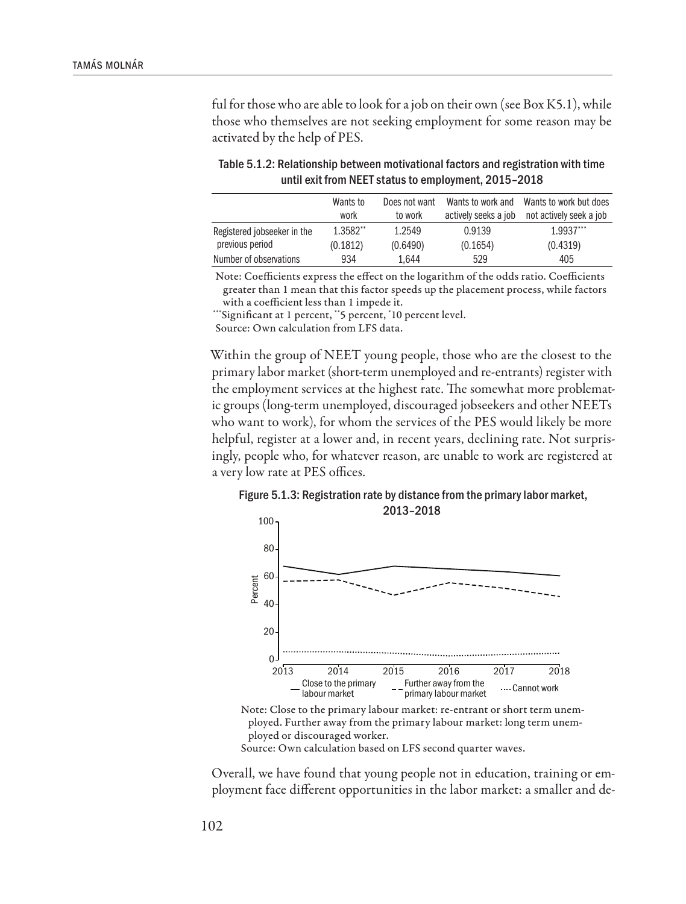ful for those who are able to look for a job on their own (see Box K5.1), while those who themselves are not seeking employment for some reason may be activated by the help of PES.

|                             | Wants to<br>work | Does not want<br>to work | Wants to work and<br>actively seeks a job | Wants to work but does<br>not actively seek a job |
|-----------------------------|------------------|--------------------------|-------------------------------------------|---------------------------------------------------|
|                             |                  |                          |                                           |                                                   |
| Registered jobseeker in the | 1.3582**         | 1.2549                   | 0.9139                                    | $1.9937***$                                       |
| previous period             | (0.1812)         | (0.6490)                 | (0.1654)                                  | (0.4319)                                          |
| Number of observations      | 934              | 1.644                    | 529                                       | 405                                               |

Table 5.1.2: Relationship between motivational factors and registration with time until exit from NEET status to employment, 2015–2018

Note: Coefficients express the effect on the logarithm of the odds ratio. Coefficients greater than 1 mean that this factor speeds up the placement process, while factors with a coefficient less than 1 impede it.

\*\*\*Significant at 1 percent, \*\*5 percent, \* 10 percent level.

Source: Own calculation from LFS data.

Within the group of NEET young people, those who are the closest to the primary labor market (short-term unemployed and re-entrants) register with the employment services at the highest rate. The somewhat more problematic groups (long-term unemployed, discouraged jobseekers and other NEETs who want to work), for whom the services of the PES would likely be more helpful, register at a lower and, in recent years, declining rate. Not surprisingly, people who, for whatever reason, are unable to work are registered at a very low rate at PES offices.

Figure 5.1.3: Registration rate by distance from the primary labor market, 2013–2018



Note: Close to the primary labour market: re-entrant or short term unemployed. Further away from the primary labour market: long term unemployed or discouraged worker.

Source: Own calculation based on LFS second quarter waves.

Overall, we have found that young people not in education, training or employment face different opportunities in the labor market: a smaller and de-